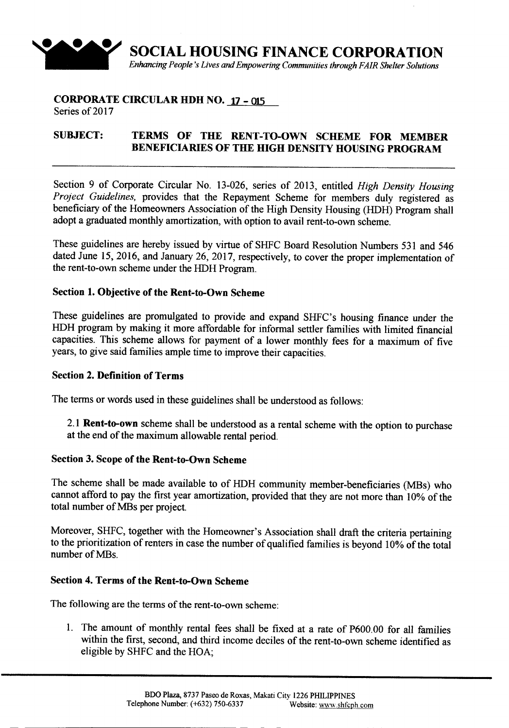

#### **CORPORATE CIRCULAR HDH NO. 17 - 015** Series of 2017

# **SUBJECT: TERMS OF THE RENT-TO-OWN SCHEME FOR MEMBER BENEFICIARIES OF THE HIGH DENSITY HOUSING PROGRAM**

Section 9 of Corporate Circular No. 13-026, series of 2013, entitled *High Density Housing Project Guidelines,* provides that the Repayment Scheme for members duly registered as beneficiary of the Homeowners Association of the High Density Housing (HDH) Program shall adopt a graduated monthly amortization, with option to avail rent-to-own scheme.

These guidelines are hereby issued by virtue of SHFC Board Resolution Numbers 531 and 546 dated June 15,2016, and January 26,2017, respectively, to cover the proper implementation of the rent-to-own scheme under the HDH Program.

## **Section 1. Objective of the Rent-to-Own Scheme**

These guidelines are promulgated to provide and expand SHFC's housing finance under the HDH program by making it more affordable for informal settler families with limited financial capacities. This scheme allows for payment of a lower monthly fees for a maximum of five years, to give said families ample time to improve their capacities.

### **Section 2. Definition of Terms**

The terms or words used in these guidelines shall be understood as follows:

2.1 **Rent-to-own** scheme shall be understood as a rental scheme with the option to purchase at the end of the maximum allowable rental period.

### **Section 3. Scope of the Rent-to-Own Scheme**

The scheme shall be made available to of HDH community member-beneficiaries (MBs) who cannot afford to pay the first year amortization, provided that they are not more than 10% of the total number of MBs per project.

Moreover, SHFC, together with the Homeowner's Association shall draft the criteria pertaining to the prioritization of renters in case the number of qualified families is beyond 10% of the total number of MBs.

### **Section 4. Terms of the Rent-to-Own Scheme**

The following are the terms of the rent-to-own scheme:

1. The amount of monthly rental fees shall be fixed at a rate of P600.00 for all families within the first, second, and third income deciles of the rent-to-own scheme identified as eligible by SHFC and the HOA;